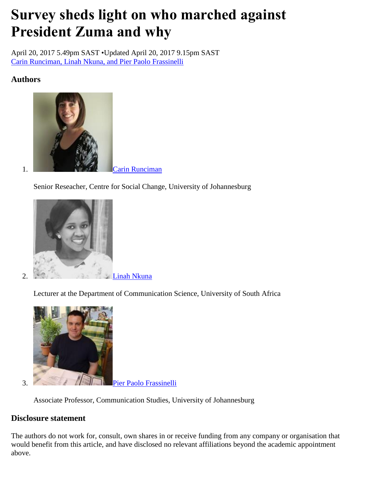# **Survey sheds light on who marched against President Zuma and why**

April 20, 2017 5.49pm SAST •Updated April 20, 2017 9.15pm SAST [Carin Runciman, Linah Nkuna, and Pier Paolo Frassinelli](https://theconversation.com/survey-sheds-light-on-who-marched-against-president-zuma-and-why-76271)

### **Authors**



Senior Reseacher, Centre for Social Change, University of Johannesburg



Lecturer at the Department of Communication Science, University of South Africa



3. **Pier Paolo Frassinelli** 

Associate Professor, Communication Studies, University of Johannesburg

### **Disclosure statement**

The authors do not work for, consult, own shares in or receive funding from any company or organisation that would benefit from this article, and have disclosed no relevant affiliations beyond the academic appointment above.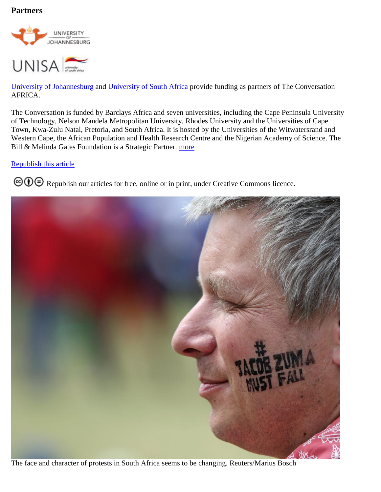#### **Partners**





[University of Johannesburg](https://theconversation.com/institutions/university-of-johannesburg-1275) and [University of South Africa](https://theconversation.com/institutions/university-of-south-africa-1951) provide funding as partners of The Conversation AFRICA.

The Conversation is funded by Barclays Africa and seven universities, including the Cape Peninsula University of Technology, Nelson Mandela Metropolitan University, Rhodes University and the Universities of Cape Town, Kwa-Zulu Natal, Pretoria, and South Africa. It is hosted by the Universities of the Witwatersrand and Western Cape, the African Population and Health Research Centre and the Nigerian Academy of Science. The Bill & Melinda Gates Foundation is a Strategic Partner. [more](https://theconversation.com/africa/partners)

#### [Republish this article](https://theconversation.com/survey-sheds-light-on-who-marched-against-president-zuma-and-why-76271#republish)

**© ①** [R](http://creativecommons.org/licenses/by-nd/4.0/)epublish our articles for free, online or in print, under Creative Commons licence.



The face and character of protests in South Africa seems to be changing. Reuters/Marius Bosch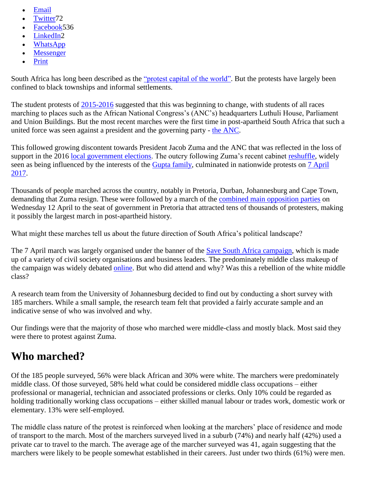- [Email](mailto:?subject=Survey%20sheds%20light%20on%20who%20marched%20against%20President%20Zuma%20and%20why%20%E2%80%94%20The%20Conversation&body=Hi.%20I%20found%20an%20article%20that%20you%20might%20like%3A%20%22Survey%20sheds%20light%20on%20who%20marched%20against%20President%20Zuma%20and%20why%22%20%E2%80%94%20http%3A%2F%2Ftheconversation.com%2Fsurvey-sheds-light-on-who-marched-against-president-zuma-and-why-76271)
- [Twitter7](http://twitter.com/intent/tweet?text=Survey+sheds+light+on+who+marched+against+President+Zuma+and+why&url=http%3A%2F%2Ftheconversation.com%2Fsurvey-sheds-light-on-who-marched-against-president-zuma-and-why-76271%3Futm_source%3Dtwitter%26utm_medium%3Dtwitterbutton&utm_campaign=none&via=TC_Africa)2
- [Facebook5](http://www.facebook.com/sharer.php?u=http%3A%2F%2Ftheconversation.com%2Fsurvey-sheds-light-on-who-marched-against-president-zuma-and-why-76271%3Futm_source%3Dfacebook%26utm_medium%3Dfacebookbutton)36
- [LinkedIn2](http://www.linkedin.com/shareArticle?mini=true&source=The+Conversation&summary=South+Africa+has+long+been+described+as+the+%5B%22protest+capital+of+the+world%22%5D%28http%3A%2F%2Fwww.news24.com%2FMyNews24%2FIS-SA-the-protest-capital-of-the-world-20151029%29.+But+the+protests+have+largely+been+conf...&title=Survey+sheds+light+on+who+marched+against+President+Zuma+and+why&url=http%3A%2F%2Ftheconversation.com%2Fsurvey-sheds-light-on-who-marched-against-president-zuma-and-why-76271%3Futm_source%3Dlinkedin%26utm_medium%3Dlinkedinbutton)
- [WhatsApp](whatsapp://send/?text=Survey+sheds+light+on+who+marched+against+President+Zuma+and+why+http%3A%2F%2Ftheconversation.com%2Fsurvey-sheds-light-on-who-marched-against-president-zuma-and-why-76271%3Futm_source%3Dwhatsapp%26utm_medium%3Dwhatsappbutton)
- [Messenger](fb-messenger://share/?link=http%3A%2F%2Ftheconversation.com%2Fsurvey-sheds-light-on-who-marched-against-president-zuma-and-why-76271%3Futm_source%3Dfb_messenger%26utm_medium%3Dfb_messenger_button)
- [Print](https://theconversation.com/survey-sheds-light-on-who-marched-against-president-zuma-and-why-76271)

South Africa has long been described as the ["protest capital of the world".](http://www.news24.com/MyNews24/IS-SA-the-protest-capital-of-the-world-20151029) But the protests have largely been confined to black townships and informal settlements.

The student protests of [2015-2016](https://mg.co.za/article/2015-10-29-student-protests-are-about-much-more-than-just-feesmustfall) suggested that this was beginning to change, with students of all races marching to places such as the African National Congress's (ANC's) headquarters Luthuli House, Parliament and Union Buildings. But the most recent marches were the first time in post-apartheid South Africa that such a united force was seen against a president and the governing party - [the ANC.](http://www.anc.org.za/)

This followed growing discontent towards President Jacob Zuma and the ANC that was reflected in the loss of support in the 2016 [local government elections.](http://www.news24.com/elections/results/lge) The outcry following Zuma's recent cabinet [reshuffle,](https://theconversation.com/stakes-for-south-africas-democracy-are-high-as-zuma-plunges-the-knife-75550) widely seen as being influenced by the interests of the [Gupta family,](http://ewn.co.za/2016/11/03/gupta-family-played-key-role-in-cabinet-appointments) culminated in nationwide protests on 7 April [2017.](https://www.businesslive.co.za/bd/national/2017-04-07-south-africans-march-in-protest-against-zuma/)

Thousands of people marched across the country, notably in Pretoria, Durban, Johannesburg and Cape Town, demanding that Zuma resign. These were followed by a march of the [combined main opposition parties](https://www.thesouthafrican.com/in-pictures-tens-of-thousands-of-people-march-against-zuma-on-the-nationaldayofaction/) on Wednesday 12 April to the seat of government in Pretoria that attracted tens of thousands of protesters, making it possibly the largest march in post-apartheid history.

What might these marches tell us about the future direction of South Africa's political landscape?

The 7 April march was largely organised under the banner of the [Save South Africa campaign,](http://www.capetalk.co.za/articles/251465/save-sa-calls-on-all-south-africans-to-join-march-against-zuma) which is made up of a variety of civil society organisations and business leaders. The predominately middle class makeup of the campaign was widely debated [online.](https://twitter.com/hashtag/whitefriday?lang=en) But who did attend and why? Was this a rebellion of the white middle class?

A research team from the University of Johannesburg decided to find out by conducting a short survey with 185 marchers. While a small sample, the research team felt that provided a fairly accurate sample and an indicative sense of who was involved and why.

Our findings were that the majority of those who marched were middle-class and mostly black. Most said they were there to protest against Zuma.

# **Who marched?**

Of the 185 people surveyed, 56% were black African and 30% were white. The marchers were predominately middle class. Of those surveyed, 58% held what could be considered middle class occupations – either professional or managerial, technician and associated professions or clerks. Only 10% could be regarded as holding traditionally working class occupations – either skilled manual labour or trades work, domestic work or elementary. 13% were self-employed.

The middle class nature of the protest is reinforced when looking at the marchers' place of residence and mode of transport to the march. Most of the marchers surveyed lived in a suburb (74%) and nearly half (42%) used a private car to travel to the march. The average age of the marcher surveyed was 41, again suggesting that the marchers were likely to be people somewhat established in their careers. Just under two thirds (61%) were men.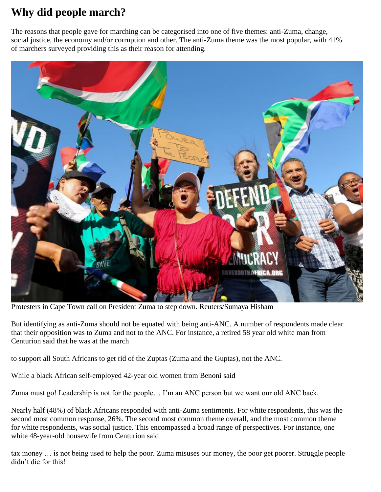# **Why did people march?**

The reasons that people gave for marching can be categorised into one of five themes: anti-Zuma, change, social justice, the economy and/or corruption and other. The anti-Zuma theme was the most popular, with 41% of marchers surveyed providing this as their reason for attending.



Protesters in Cape Town call on President Zuma to step down. Reuters/Sumaya Hisham

But identifying as anti-Zuma should not be equated with being anti-ANC. A number of respondents made clear that their opposition was to Zuma and not to the ANC. For instance, a retired 58 year old white man from Centurion said that he was at the march

to support all South Africans to get rid of the Zuptas (Zuma and the Guptas), not the ANC.

While a black African self-employed 42-year old women from Benoni said

Zuma must go! Leadership is not for the people… I'm an ANC person but we want our old ANC back.

Nearly half (48%) of black Africans responded with anti-Zuma sentiments. For white respondents, this was the second most common response, 26%. The second most common theme overall, and the most common theme for white respondents, was social justice. This encompassed a broad range of perspectives. For instance, one white 48-year-old housewife from Centurion said

tax money … is not being used to help the poor. Zuma misuses our money, the poor get poorer. Struggle people didn't die for this!